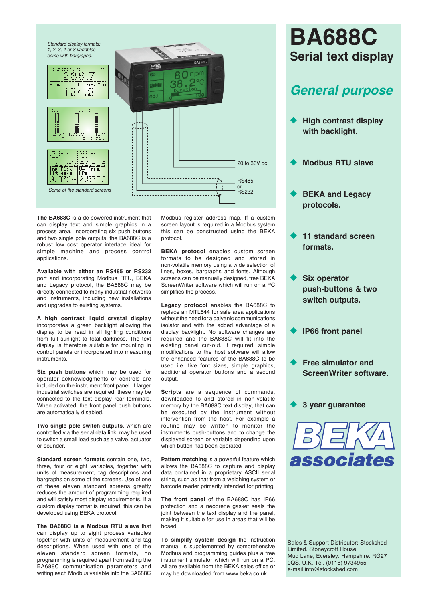

**The BA688C** is a dc powered instrument that can display text and simple graphics in a process area. Incorporating six push buttons and two single pole outputs, the BA688C is a robust low cost operator interface ideal for simple machine and process control applications.

**Available with either an RS485 or RS232** port and incorporating Modbus RTU, BEKA and Legacy protocol, the BA688C may be directly connected to many industrial networks and instruments, including new installations and upgrades to existing systems.

**A high contrast liquid crystal display** incorporates a green backlight allowing the display to be read in all lighting conditions from full sunlight to total darkness. The text display is therefore suitable for mounting in control panels or incorporated into measuring instruments.

**Six push buttons** which may be used for operator acknowledgments or controls are included on the instrument front panel. If larger industrial switches are required, these may be connected to the text display rear terminals. When activated, the front panel push buttons are automatically disabled.

**Two single pole switch outputs**, which are controlled via the serial data link, may be used to switch a small load such as a valve, actuator or sounder.

**Standard screen formats** contain one, two, three, four or eight variables, together with units of measurement, tag descriptions and bargraphs on some of the screens. Use of one of these eleven standard screens greatly reduces the amount of programming required and will satisfy most display requirements. If a custom display format is required, this can be developed using BEKA protocol.

**The BA688C is a Modbus RTU slave** that can display up to eight process variables together with units of measurement and tag descriptions. When used with one of the eleven standard screen formats, no programming is required apart from setting the BA688C communication parameters and writing each Modbus variable into the BA688C Modbus register address map. If a custom screen layout is required in a Modbus system this can be constructed using the BEKA protocol.

**BEKA protocol** enables custom screen formats to be designed and stored in non-volatile memory using a wide selection of lines, boxes, bargraphs and fonts. Although screens can be manually designed, free BEKA ScreenWriter software which will run on a PC simplifies the process.

**Legacy protocol** enables the BA688C to replace an MTL644 for safe area applications without the need for a galvanic communications isolator and with the added advantage of a display backlight. No software changes are required and the BA688C will fit into the existing panel cut-out. If required, simple modifications to the host software will allow the enhanced features of the BA688C to be used i.e. five font sizes, simple graphics, additional operator buttons and a second output.

**Scripts** are a sequence of commands, downloaded to and stored in non-volatile memory by the BA688C text display, that can be executed by the instrument without intervention from the host. For example a routine may be written to monitor the instruments push-buttons and to change the displayed screen or variable depending upon which button has been operated.

**Pattern matching** is a powerful feature which allows the BA688C to capture and display data contained in a proprietary ASCII serial string, such as that from a weighing system or barcode reader primarily intended for printing.

**The front panel** of the BA688C has IP66 protection and a neoprene gasket seals the joint between the text display and the panel, making it suitable for use in areas that will be hosed.

**To simplify system design** the instruction manual is supplemented by comprehensive Modbus and programming guides plus a free instrument simulator which will run on a PC. All are available from the BEKA sales office or may be downloaded from www.beka.co.uk

## **BA688C Serial text display**

## *General purpose*

- ◆ High contrast display **with backlight.**
- u **Modbus RTU slave**
- **BEKA and Legacy protocols.**
- 11 standard screen **formats.**
- **Six operator push-buttons & two switch outputs.**
- **IP66 front panel**
- **Free simulator and ScreenWriter software.**

**3 year guarantee** 



Sales & Support Distributor:-Stockshed Limited. Stoneycroft House, Mud Lane, Eversley. Hampshire. RG27 0QS. U.K. Tel. (0118) 9734955 e-mail info@stockshed.com